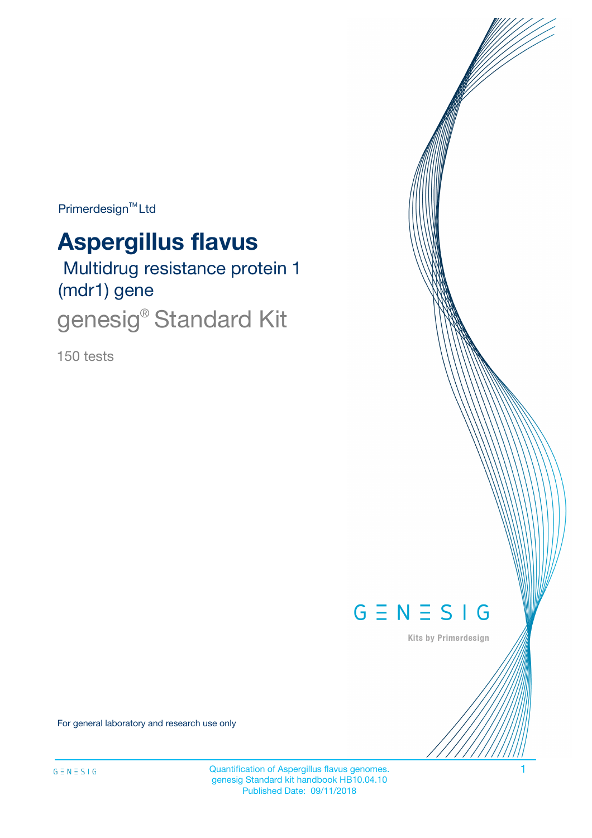Primerdesign<sup>™</sup>Ltd

# **Aspergillus flavus**

 Multidrug resistance protein 1 (mdr1) gene

genesig<sup>®</sup> Standard Kit

150 tests



Kits by Primerdesign

For general laboratory and research use only

Quantification of Aspergillus flavus genomes. 1 genesig Standard kit handbook HB10.04.10 Published Date: 09/11/2018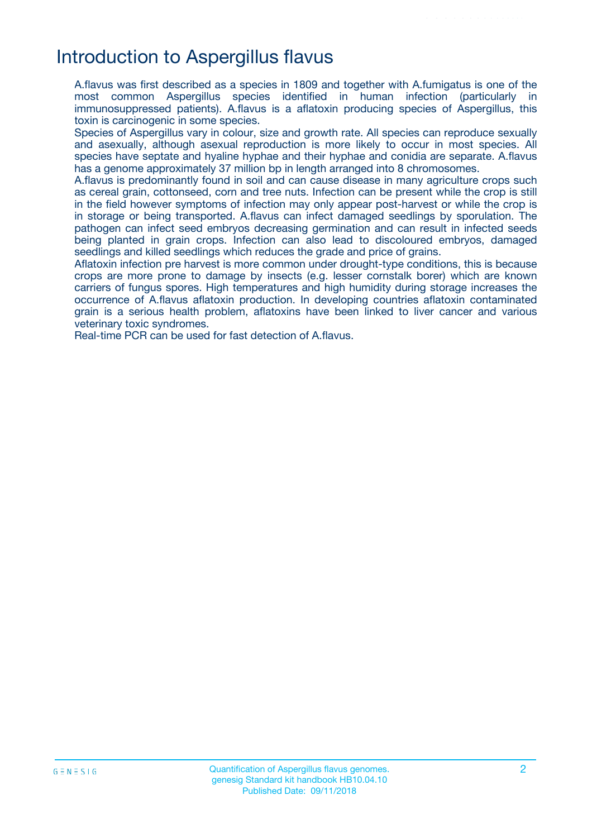## Introduction to Aspergillus flavus

A.flavus was first described as a species in 1809 and together with A.fumigatus is one of the most common Aspergillus species identified in human infection (particularly in immunosuppressed patients). A.flavus is a aflatoxin producing species of Aspergillus, this toxin is carcinogenic in some species.

Species of Aspergillus vary in colour, size and growth rate. All species can reproduce sexually and asexually, although asexual reproduction is more likely to occur in most species. All species have septate and hyaline hyphae and their hyphae and conidia are separate. A.flavus has a genome approximately 37 million bp in length arranged into 8 chromosomes.

A.flavus is predominantly found in soil and can cause disease in many agriculture crops such as cereal grain, cottonseed, corn and tree nuts. Infection can be present while the crop is still in the field however symptoms of infection may only appear post-harvest or while the crop is in storage or being transported. A.flavus can infect damaged seedlings by sporulation. The pathogen can infect seed embryos decreasing germination and can result in infected seeds being planted in grain crops. Infection can also lead to discoloured embryos, damaged seedlings and killed seedlings which reduces the grade and price of grains.

Aflatoxin infection pre harvest is more common under drought-type conditions, this is because crops are more prone to damage by insects (e.g. lesser cornstalk borer) which are known carriers of fungus spores. High temperatures and high humidity during storage increases the occurrence of A.flavus aflatoxin production. In developing countries aflatoxin contaminated grain is a serious health problem, aflatoxins have been linked to liver cancer and various veterinary toxic syndromes.

Real-time PCR can be used for fast detection of A.flavus.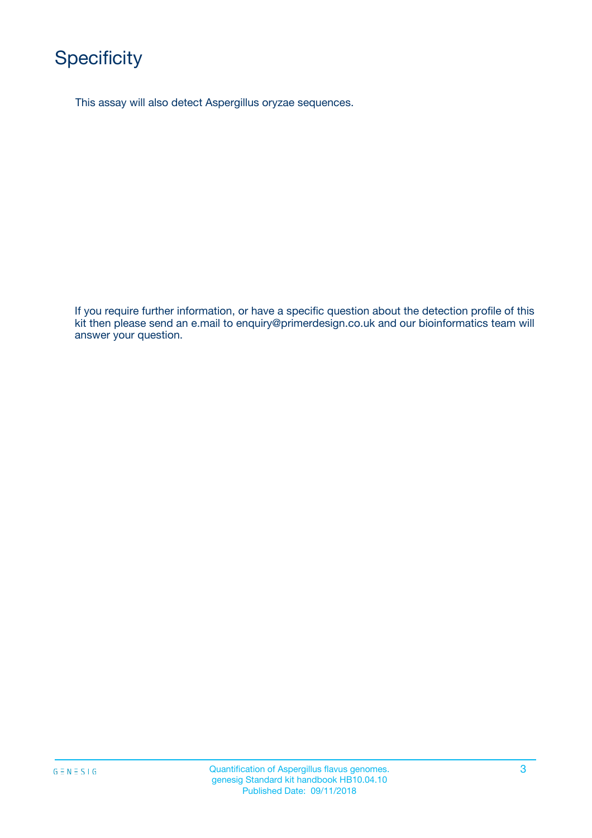# **Specificity**

This assay will also detect Aspergillus oryzae sequences.

If you require further information, or have a specific question about the detection profile of this kit then please send an e.mail to enquiry@primerdesign.co.uk and our bioinformatics team will answer your question.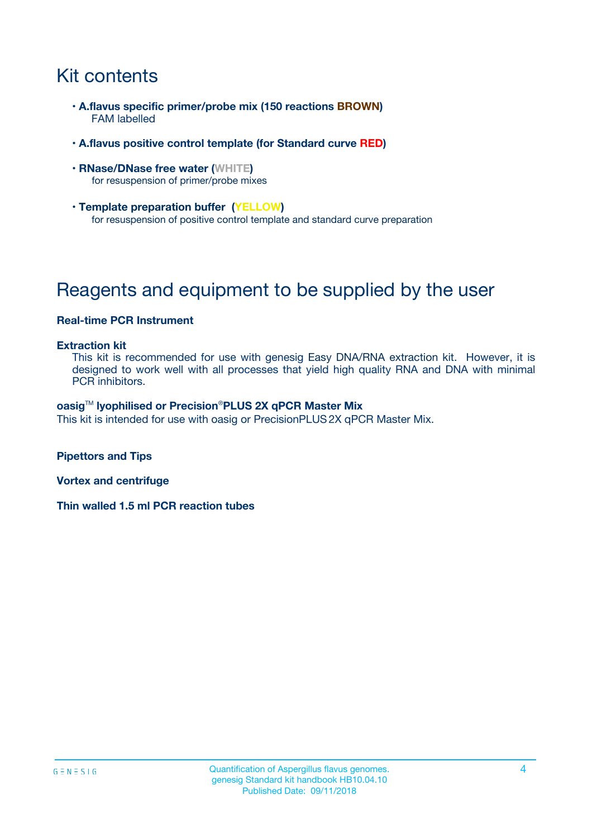# Kit contents

- **A.flavus specific primer/probe mix (150 reactions BROWN)** FAM labelled
- **A.flavus positive control template (for Standard curve RED)**
- **RNase/DNase free water (WHITE)** for resuspension of primer/probe mixes
- **Template preparation buffer (YELLOW)** for resuspension of positive control template and standard curve preparation

# Reagents and equipment to be supplied by the user

#### **Real-time PCR Instrument**

#### **Extraction kit**

This kit is recommended for use with genesig Easy DNA/RNA extraction kit. However, it is designed to work well with all processes that yield high quality RNA and DNA with minimal PCR inhibitors.

#### **oasig**TM **lyophilised or Precision**®**PLUS 2X qPCR Master Mix**

This kit is intended for use with oasig or PrecisionPLUS2X qPCR Master Mix.

**Pipettors and Tips**

**Vortex and centrifuge**

**Thin walled 1.5 ml PCR reaction tubes**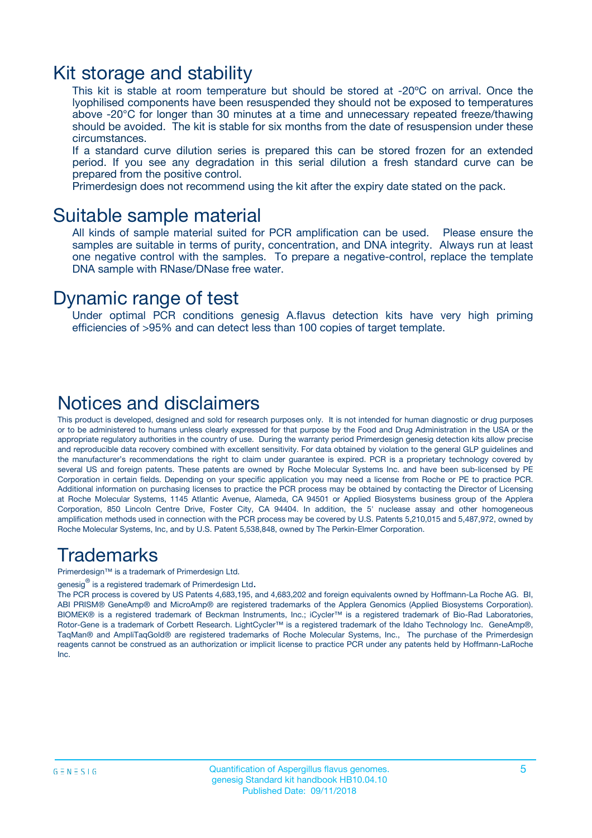### Kit storage and stability

This kit is stable at room temperature but should be stored at -20ºC on arrival. Once the lyophilised components have been resuspended they should not be exposed to temperatures above -20°C for longer than 30 minutes at a time and unnecessary repeated freeze/thawing should be avoided. The kit is stable for six months from the date of resuspension under these circumstances.

If a standard curve dilution series is prepared this can be stored frozen for an extended period. If you see any degradation in this serial dilution a fresh standard curve can be prepared from the positive control.

Primerdesign does not recommend using the kit after the expiry date stated on the pack.

### Suitable sample material

All kinds of sample material suited for PCR amplification can be used. Please ensure the samples are suitable in terms of purity, concentration, and DNA integrity. Always run at least one negative control with the samples. To prepare a negative-control, replace the template DNA sample with RNase/DNase free water.

### Dynamic range of test

Under optimal PCR conditions genesig A.flavus detection kits have very high priming efficiencies of >95% and can detect less than 100 copies of target template.

### Notices and disclaimers

This product is developed, designed and sold for research purposes only. It is not intended for human diagnostic or drug purposes or to be administered to humans unless clearly expressed for that purpose by the Food and Drug Administration in the USA or the appropriate regulatory authorities in the country of use. During the warranty period Primerdesign genesig detection kits allow precise and reproducible data recovery combined with excellent sensitivity. For data obtained by violation to the general GLP guidelines and the manufacturer's recommendations the right to claim under guarantee is expired. PCR is a proprietary technology covered by several US and foreign patents. These patents are owned by Roche Molecular Systems Inc. and have been sub-licensed by PE Corporation in certain fields. Depending on your specific application you may need a license from Roche or PE to practice PCR. Additional information on purchasing licenses to practice the PCR process may be obtained by contacting the Director of Licensing at Roche Molecular Systems, 1145 Atlantic Avenue, Alameda, CA 94501 or Applied Biosystems business group of the Applera Corporation, 850 Lincoln Centre Drive, Foster City, CA 94404. In addition, the 5' nuclease assay and other homogeneous amplification methods used in connection with the PCR process may be covered by U.S. Patents 5,210,015 and 5,487,972, owned by Roche Molecular Systems, Inc, and by U.S. Patent 5,538,848, owned by The Perkin-Elmer Corporation.

### Trademarks

Primerdesign™ is a trademark of Primerdesign Ltd.

genesig $^\circledR$  is a registered trademark of Primerdesign Ltd.

The PCR process is covered by US Patents 4,683,195, and 4,683,202 and foreign equivalents owned by Hoffmann-La Roche AG. BI, ABI PRISM® GeneAmp® and MicroAmp® are registered trademarks of the Applera Genomics (Applied Biosystems Corporation). BIOMEK® is a registered trademark of Beckman Instruments, Inc.; iCycler™ is a registered trademark of Bio-Rad Laboratories, Rotor-Gene is a trademark of Corbett Research. LightCycler™ is a registered trademark of the Idaho Technology Inc. GeneAmp®, TaqMan® and AmpliTaqGold® are registered trademarks of Roche Molecular Systems, Inc., The purchase of the Primerdesign reagents cannot be construed as an authorization or implicit license to practice PCR under any patents held by Hoffmann-LaRoche Inc.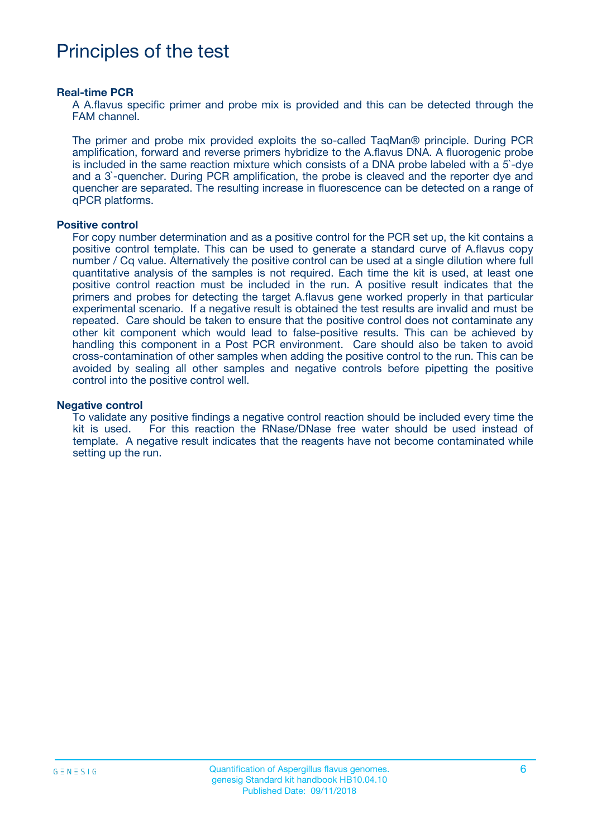## Principles of the test

#### **Real-time PCR**

A A.flavus specific primer and probe mix is provided and this can be detected through the FAM channel.

The primer and probe mix provided exploits the so-called TaqMan® principle. During PCR amplification, forward and reverse primers hybridize to the A.flavus DNA. A fluorogenic probe is included in the same reaction mixture which consists of a DNA probe labeled with a 5`-dye and a 3`-quencher. During PCR amplification, the probe is cleaved and the reporter dye and quencher are separated. The resulting increase in fluorescence can be detected on a range of qPCR platforms.

#### **Positive control**

For copy number determination and as a positive control for the PCR set up, the kit contains a positive control template. This can be used to generate a standard curve of A.flavus copy number / Cq value. Alternatively the positive control can be used at a single dilution where full quantitative analysis of the samples is not required. Each time the kit is used, at least one positive control reaction must be included in the run. A positive result indicates that the primers and probes for detecting the target A.flavus gene worked properly in that particular experimental scenario. If a negative result is obtained the test results are invalid and must be repeated. Care should be taken to ensure that the positive control does not contaminate any other kit component which would lead to false-positive results. This can be achieved by handling this component in a Post PCR environment. Care should also be taken to avoid cross-contamination of other samples when adding the positive control to the run. This can be avoided by sealing all other samples and negative controls before pipetting the positive control into the positive control well.

#### **Negative control**

To validate any positive findings a negative control reaction should be included every time the kit is used. For this reaction the RNase/DNase free water should be used instead of template. A negative result indicates that the reagents have not become contaminated while setting up the run.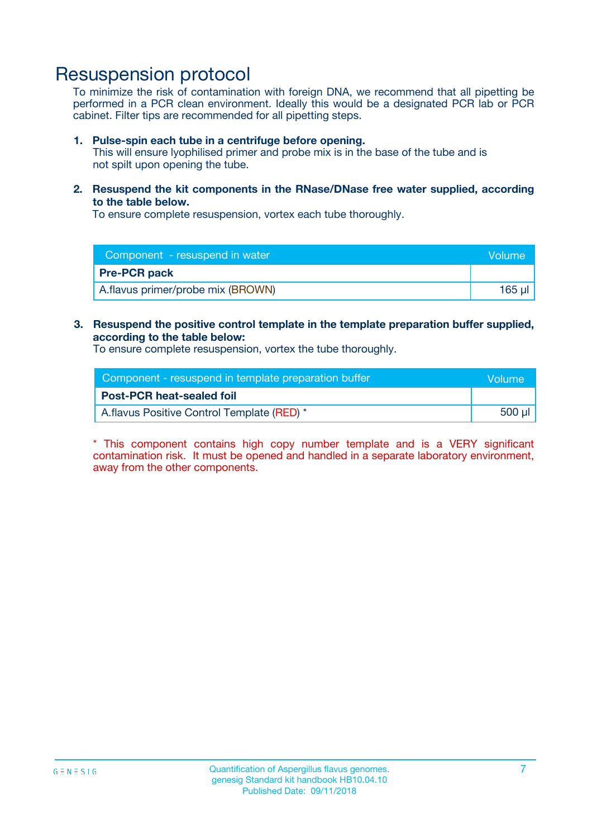### Resuspension protocol

To minimize the risk of contamination with foreign DNA, we recommend that all pipetting be performed in a PCR clean environment. Ideally this would be a designated PCR lab or PCR cabinet. Filter tips are recommended for all pipetting steps.

#### **1. Pulse-spin each tube in a centrifuge before opening.**

This will ensure lyophilised primer and probe mix is in the base of the tube and is not spilt upon opening the tube.

**2. Resuspend the kit components in the RNase/DNase free water supplied, according to the table below.**

To ensure complete resuspension, vortex each tube thoroughly.

| Component - resuspend in water    | Volume |
|-----------------------------------|--------|
| <b>Pre-PCR pack</b>               |        |
| A.flavus primer/probe mix (BROWN) | 165 µl |

#### **3. Resuspend the positive control template in the template preparation buffer supplied, according to the table below:**

To ensure complete resuspension, vortex the tube thoroughly.

| Component - resuspend in template preparation buffer |        |  |
|------------------------------------------------------|--------|--|
| <b>Post-PCR heat-sealed foil</b>                     |        |  |
| A. flavus Positive Control Template (RED) *          | 500 µl |  |

\* This component contains high copy number template and is a VERY significant contamination risk. It must be opened and handled in a separate laboratory environment, away from the other components.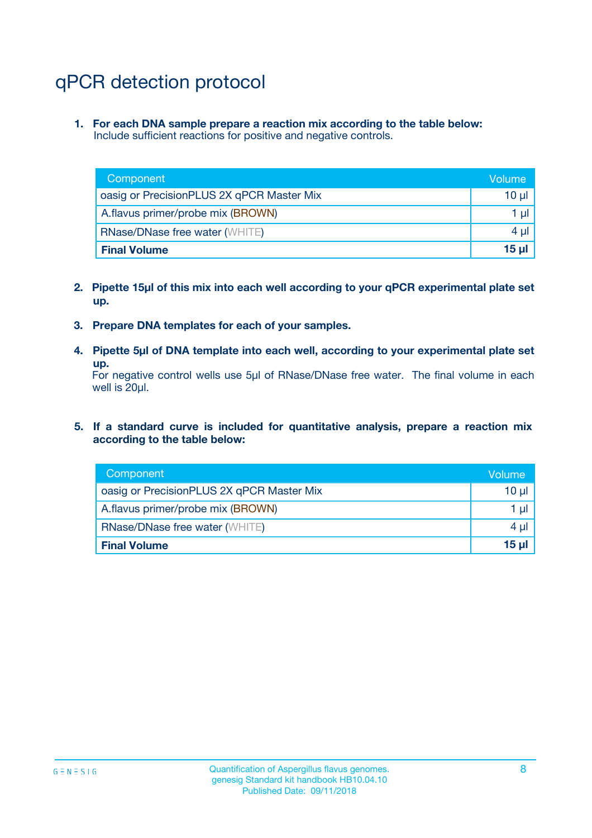# qPCR detection protocol

**1. For each DNA sample prepare a reaction mix according to the table below:** Include sufficient reactions for positive and negative controls.

| Component                                 | Volume           |
|-------------------------------------------|------------------|
| oasig or PrecisionPLUS 2X qPCR Master Mix | 10 $\mu$         |
| A.flavus primer/probe mix (BROWN)         | 1 $\mu$          |
| <b>RNase/DNase free water (WHITE)</b>     | $4 \mu$          |
| <b>Final Volume</b>                       | 15 <sub>ul</sub> |

- **2. Pipette 15µl of this mix into each well according to your qPCR experimental plate set up.**
- **3. Prepare DNA templates for each of your samples.**
- **4. Pipette 5µl of DNA template into each well, according to your experimental plate set up.**

For negative control wells use 5µl of RNase/DNase free water. The final volume in each well is 20µl.

**5. If a standard curve is included for quantitative analysis, prepare a reaction mix according to the table below:**

| Component                                 | Volume  |
|-------------------------------------------|---------|
| oasig or PrecisionPLUS 2X qPCR Master Mix | 10 µl   |
| A.flavus primer/probe mix (BROWN)         | 1 µI    |
| <b>RNase/DNase free water (WHITE)</b>     | $4 \mu$ |
| <b>Final Volume</b>                       | 15 µl   |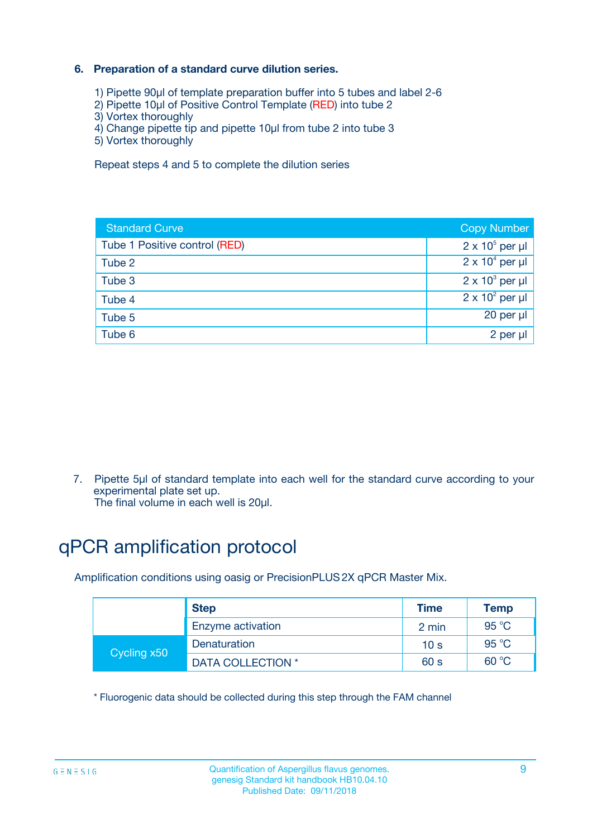### **6. Preparation of a standard curve dilution series.**

- 1) Pipette 90µl of template preparation buffer into 5 tubes and label 2-6
- 2) Pipette 10µl of Positive Control Template (RED) into tube 2
- 3) Vortex thoroughly
- 4) Change pipette tip and pipette 10µl from tube 2 into tube 3
- 5) Vortex thoroughly

Repeat steps 4 and 5 to complete the dilution series

| <b>Standard Curve</b>         | <b>Copy Number</b>     |
|-------------------------------|------------------------|
| Tube 1 Positive control (RED) | $2 \times 10^5$ per µl |
| Tube 2                        | $2 \times 10^4$ per µl |
| Tube 3                        | $2 \times 10^3$ per µl |
| Tube 4                        | $2 \times 10^2$ per µl |
| Tube 5                        | 20 per µl              |
| Tube 6                        | $2$ per $\mu$          |

7. Pipette 5µl of standard template into each well for the standard curve according to your experimental plate set up.

The final volume in each well is 20µl.

# qPCR amplification protocol

Amplification conditions using oasig or PrecisionPLUS2X qPCR Master Mix.

|             | <b>Step</b>       | <b>Time</b>     | Temp    |
|-------------|-------------------|-----------------|---------|
|             | Enzyme activation | 2 min           | 95 °C   |
| Cycling x50 | Denaturation      | 10 <sub>s</sub> | 95 $°C$ |
|             | DATA COLLECTION * | 60 s            | 60 °C   |

\* Fluorogenic data should be collected during this step through the FAM channel